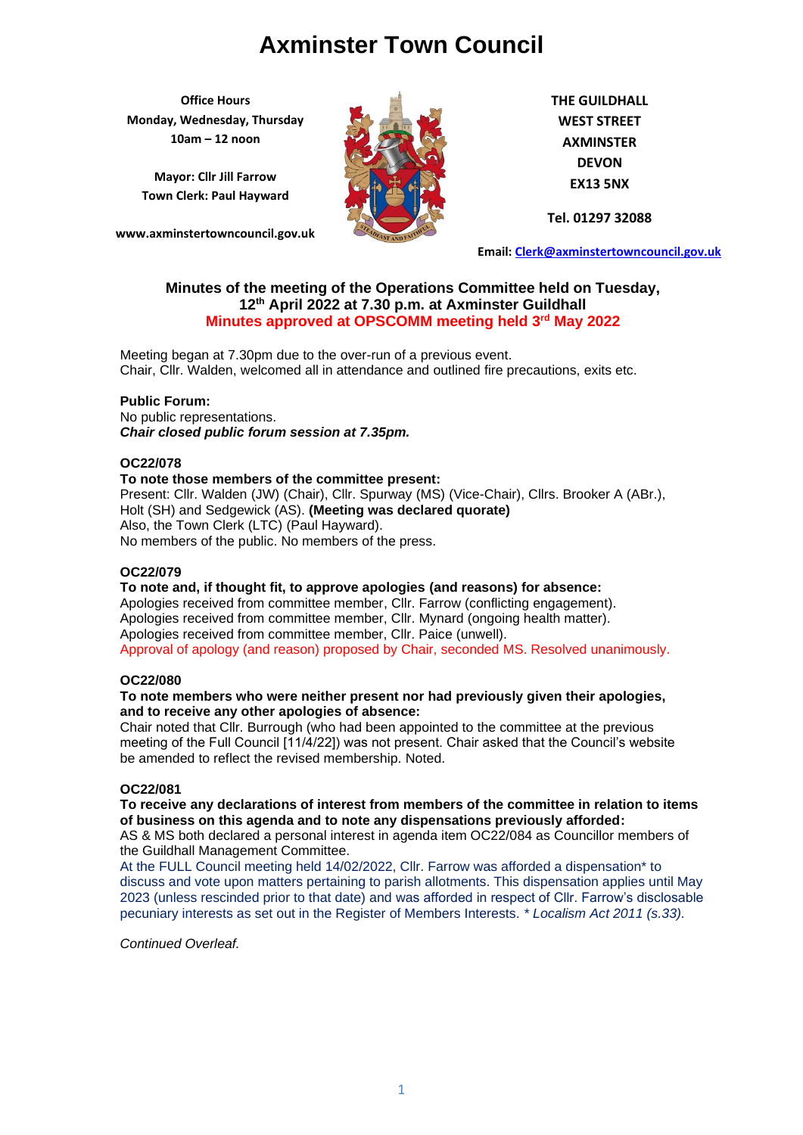**Office Hours Monday, Wednesday, Thursday 10am – 12 noon**

**Mayor: Cllr Jill Farrow Town Clerk: Paul Hayward**

**www.axminstertowncouncil.gov.uk**



**THE GUILDHALL WEST STREET AXMINSTER DEVON EX13 5NX**

**Tel. 01297 32088**

**Email: [Clerk@axminstertowncouncil.gov.uk](file://///axm-svr-1/company/Templates/Clerk@axminstertowncouncil.gov.uk)**

# **Minutes of the meeting of the Operations Committee held on Tuesday, 12 th April 2022 at 7.30 p.m. at Axminster Guildhall Minutes approved at OPSCOMM meeting held 3rd May 2022**

Chair, Cllr. Walden, welcomed all in attendance and outlined fire precautions, exits etc. Meeting began at 7.30pm due to the over-run of a previous event.

# **Public Forum:**

No public representations. *Chair closed public forum session at 7.35pm.*

## **OC22/078**

# **To note those members of the committee present:**

Present: Cllr. Walden (JW) (Chair), Cllr. Spurway (MS) (Vice-Chair), Cllrs. Brooker A (ABr.), Holt (SH) and Sedgewick (AS). **(Meeting was declared quorate)** Also, the Town Clerk (LTC) (Paul Hayward). No members of the public. No members of the press.

## **OC22/079**

#### **To note and, if thought fit, to approve apologies (and reasons) for absence:** Apologies received from committee member, Cllr. Farrow (conflicting engagement). Apologies received from committee member, Cllr. Mynard (ongoing health matter). Apologies received from committee member, Cllr. Paice (unwell).

Approval of apology (and reason) proposed by Chair, seconded MS. Resolved unanimously.

## **OC22/080**

## **To note members who were neither present nor had previously given their apologies, and to receive any other apologies of absence:**

Chair noted that Cllr. Burrough (who had been appointed to the committee at the previous meeting of the Full Council [11/4/22]) was not present. Chair asked that the Council's website be amended to reflect the revised membership. Noted.

# **OC22/081**

# **To receive any declarations of interest from members of the committee in relation to items of business on this agenda and to note any dispensations previously afforded:**

AS & MS both declared a personal interest in agenda item OC22/084 as Councillor members of the Guildhall Management Committee.

At the FULL Council meeting held 14/02/2022, Cllr. Farrow was afforded a dispensation\* to discuss and vote upon matters pertaining to parish allotments. This dispensation applies until May 2023 (unless rescinded prior to that date) and was afforded in respect of Cllr. Farrow's disclosable pecuniary interests as set out in the Register of Members Interests. *\* Localism Act 2011 (s.33).*

*Continued Overleaf.*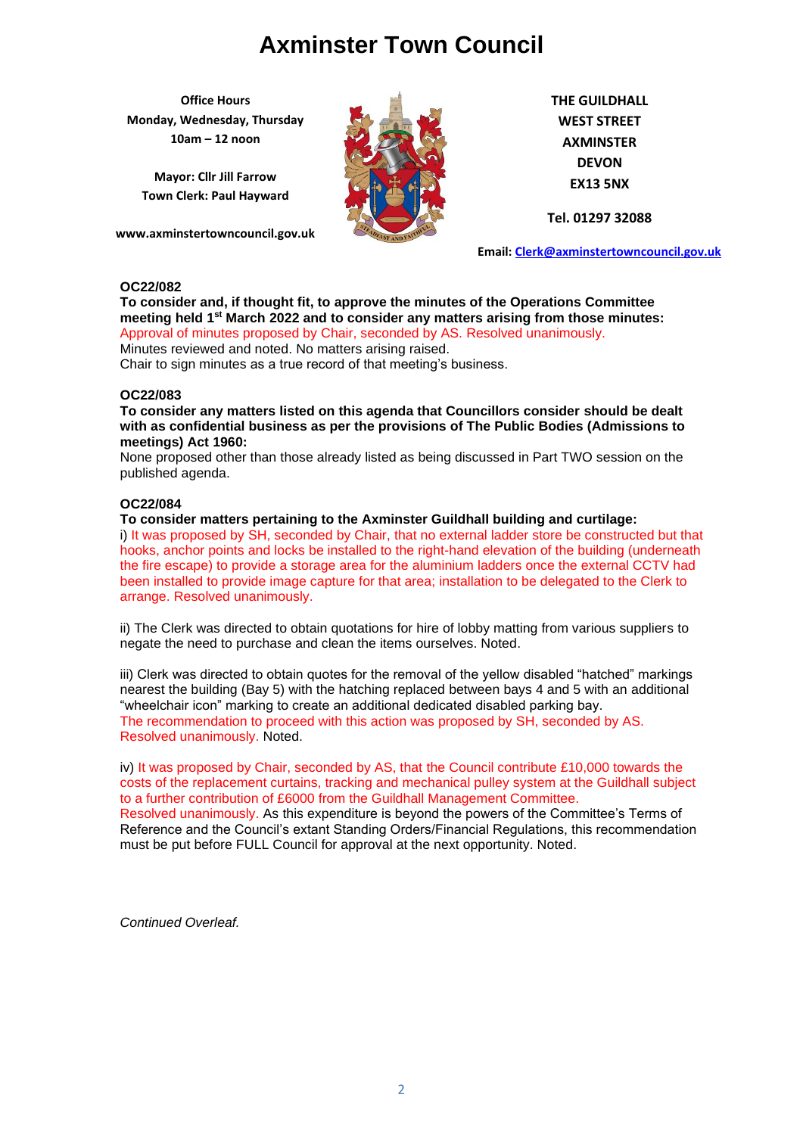**Office Hours Monday, Wednesday, Thursday 10am – 12 noon**

**Mayor: Cllr Jill Farrow Town Clerk: Paul Hayward**

**www.axminstertowncouncil.gov.uk**



**THE GUILDHALL WEST STREET AXMINSTER DEVON EX13 5NX**

**Tel. 01297 32088**

**Email: [Clerk@axminstertowncouncil.gov.uk](file://///axm-svr-1/company/Templates/Clerk@axminstertowncouncil.gov.uk)**

# **OC22/082**

**To consider and, if thought fit, to approve the minutes of the Operations Committee meeting held 1 st March 2022 and to consider any matters arising from those minutes:** Approval of minutes proposed by Chair, seconded by AS. Resolved unanimously.

Minutes reviewed and noted. No matters arising raised.

Chair to sign minutes as a true record of that meeting's business.

## **OC22/083**

**To consider any matters listed on this agenda that Councillors consider should be dealt with as confidential business as per the provisions of The Public Bodies (Admissions to meetings) Act 1960:**

None proposed other than those already listed as being discussed in Part TWO session on the published agenda.

## **OC22/084**

**To consider matters pertaining to the Axminster Guildhall building and curtilage:**

i) It was proposed by SH, seconded by Chair, that no external ladder store be constructed but that hooks, anchor points and locks be installed to the right-hand elevation of the building (underneath the fire escape) to provide a storage area for the aluminium ladders once the external CCTV had been installed to provide image capture for that area; installation to be delegated to the Clerk to arrange. Resolved unanimously.

ii) The Clerk was directed to obtain quotations for hire of lobby matting from various suppliers to negate the need to purchase and clean the items ourselves. Noted.

iii) Clerk was directed to obtain quotes for the removal of the yellow disabled "hatched" markings nearest the building (Bay 5) with the hatching replaced between bays 4 and 5 with an additional "wheelchair icon" marking to create an additional dedicated disabled parking bay. The recommendation to proceed with this action was proposed by SH, seconded by AS. Resolved unanimously. Noted.

iv) It was proposed by Chair, seconded by AS, that the Council contribute £10,000 towards the costs of the replacement curtains, tracking and mechanical pulley system at the Guildhall subject to a further contribution of £6000 from the Guildhall Management Committee.

Resolved unanimously. As this expenditure is beyond the powers of the Committee's Terms of Reference and the Council's extant Standing Orders/Financial Regulations, this recommendation must be put before FULL Council for approval at the next opportunity. Noted.

*Continued Overleaf.*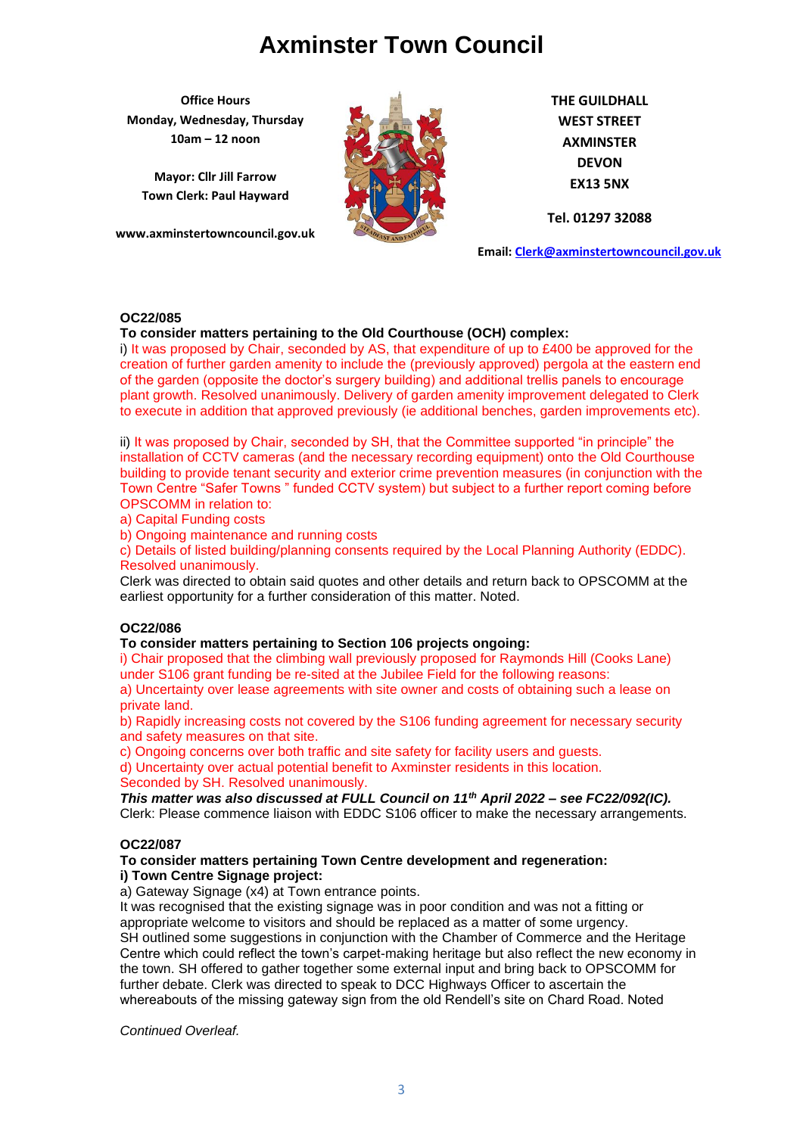**Office Hours Monday, Wednesday, Thursday 10am – 12 noon**

**Mayor: Cllr Jill Farrow Town Clerk: Paul Hayward**

**www.axminstertowncouncil.gov.uk**



**THE GUILDHALL WEST STREET AXMINSTER DEVON EX13 5NX**

**Tel. 01297 32088**

**Email: [Clerk@axminstertowncouncil.gov.uk](file://///axm-svr-1/company/Templates/Clerk@axminstertowncouncil.gov.uk)**

## **OC22/085**

## **To consider matters pertaining to the Old Courthouse (OCH) complex:**

**TEL: 01297 32088** of the garden (opposite the doctor's surgery building) and additional trellis panels to encourage i) It was proposed by Chair, seconded by AS, that expenditure of up to  $£400$  be approved for the creation of further garden amenity to include the (previously approved) pergola at the eastern end plant growth. Resolved unanimously. Delivery of garden amenity improvement delegated to Clerk to execute in addition that approved previously (ie additional benches, garden improvements etc).

ii) It was proposed by Chair, seconded by SH, that the Committee supported "in principle" the installation of CCTV cameras (and the necessary recording equipment) onto the Old Courthouse building to provide tenant security and exterior crime prevention measures (in conjunction with the Town Centre "Safer Towns " funded CCTV system) but subject to a further report coming before OPSCOMM in relation to:

a) Capital Funding costs

b) Ongoing maintenance and running costs

c) Details of listed building/planning consents required by the Local Planning Authority (EDDC). Resolved unanimously.

Clerk was directed to obtain said quotes and other details and return back to OPSCOMM at the earliest opportunity for a further consideration of this matter. Noted.

# **OC22/086**

#### **To consider matters pertaining to Section 106 projects ongoing:**

i) Chair proposed that the climbing wall previously proposed for Raymonds Hill (Cooks Lane) under S106 grant funding be re-sited at the Jubilee Field for the following reasons:

a) Uncertainty over lease agreements with site owner and costs of obtaining such a lease on private land.

b) Rapidly increasing costs not covered by the S106 funding agreement for necessary security and safety measures on that site.

c) Ongoing concerns over both traffic and site safety for facility users and guests.

d) Uncertainty over actual potential benefit to Axminster residents in this location.

Seconded by SH. Resolved unanimously.

*This matter was also discussed at FULL Council on 11th April 2022 – see FC22/092(IC).* Clerk: Please commence liaison with EDDC S106 officer to make the necessary arrangements.

## **OC22/087**

## **To consider matters pertaining Town Centre development and regeneration: i) Town Centre Signage project:**

a) Gateway Signage (x4) at Town entrance points.

It was recognised that the existing signage was in poor condition and was not a fitting or appropriate welcome to visitors and should be replaced as a matter of some urgency. SH outlined some suggestions in conjunction with the Chamber of Commerce and the Heritage Centre which could reflect the town's carpet-making heritage but also reflect the new economy in the town. SH offered to gather together some external input and bring back to OPSCOMM for further debate. Clerk was directed to speak to DCC Highways Officer to ascertain the whereabouts of the missing gateway sign from the old Rendell's site on Chard Road. Noted

*Continued Overleaf.*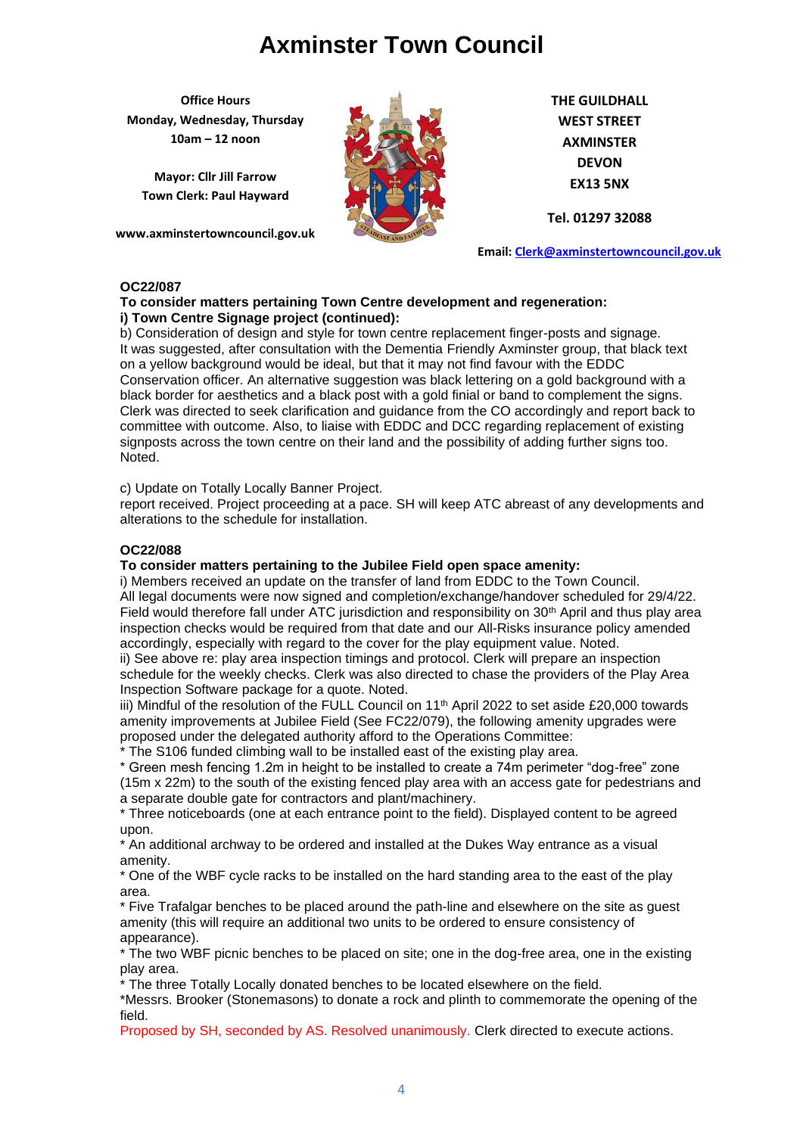**Office Hours Monday, Wednesday, Thursday 10am – 12 noon**

**Mayor: Cllr Jill Farrow Town Clerk: Paul Hayward**

**www.axminstertowncouncil.gov.uk**



**THE GUILDHALL WEST STREET AXMINSTER DEVON EX13 5NX**

**Tel. 01297 32088**

**Email: [Clerk@axminstertowncouncil.gov.uk](file://///axm-svr-1/company/Templates/Clerk@axminstertowncouncil.gov.uk)**

# **OC22/087**

# **To consider matters pertaining Town Centre development and regeneration: i) Town Centre Signage project (continued):**

**TEL: 01297 32088** Conservation officer. An alternative suggestion was black lettering on a gold background with a b) Consideration of design and style for town centre replacement finger-posts and signage. It was suggested, after consultation with the Dementia Friendly Axminster group, that black text on a yellow background would be ideal, but that it may not find favour with the EDDC black border for aesthetics and a black post with a gold finial or band to complement the signs. Clerk was directed to seek clarification and guidance from the CO accordingly and report back to committee with outcome. Also, to liaise with EDDC and DCC regarding replacement of existing signposts across the town centre on their land and the possibility of adding further signs too. Noted.

c) Update on Totally Locally Banner Project.

report received. Project proceeding at a pace. SH will keep ATC abreast of any developments and alterations to the schedule for installation.

# **OC22/088**

# **To consider matters pertaining to the Jubilee Field open space amenity:**

i) Members received an update on the transfer of land from EDDC to the Town Council. All legal documents were now signed and completion/exchange/handover scheduled for 29/4/22. Field would therefore fall under ATC jurisdiction and responsibility on 30<sup>th</sup> April and thus play area inspection checks would be required from that date and our All-Risks insurance policy amended accordingly, especially with regard to the cover for the play equipment value. Noted.

ii) See above re: play area inspection timings and protocol. Clerk will prepare an inspection schedule for the weekly checks. Clerk was also directed to chase the providers of the Play Area Inspection Software package for a quote. Noted.

iii) Mindful of the resolution of the FULL Council on 11<sup>th</sup> April 2022 to set aside £20,000 towards amenity improvements at Jubilee Field (See FC22/079), the following amenity upgrades were proposed under the delegated authority afford to the Operations Committee:

\* The S106 funded climbing wall to be installed east of the existing play area.

\* Green mesh fencing 1.2m in height to be installed to create a 74m perimeter "dog-free" zone (15m x 22m) to the south of the existing fenced play area with an access gate for pedestrians and a separate double gate for contractors and plant/machinery.

\* Three noticeboards (one at each entrance point to the field). Displayed content to be agreed upon.

\* An additional archway to be ordered and installed at the Dukes Way entrance as a visual amenity.

\* One of the WBF cycle racks to be installed on the hard standing area to the east of the play area.

\* Five Trafalgar benches to be placed around the path-line and elsewhere on the site as guest amenity (this will require an additional two units to be ordered to ensure consistency of appearance).

\* The two WBF picnic benches to be placed on site; one in the dog-free area, one in the existing play area.

\* The three Totally Locally donated benches to be located elsewhere on the field.

\*Messrs. Brooker (Stonemasons) to donate a rock and plinth to commemorate the opening of the field.

Proposed by SH, seconded by AS. Resolved unanimously. Clerk directed to execute actions.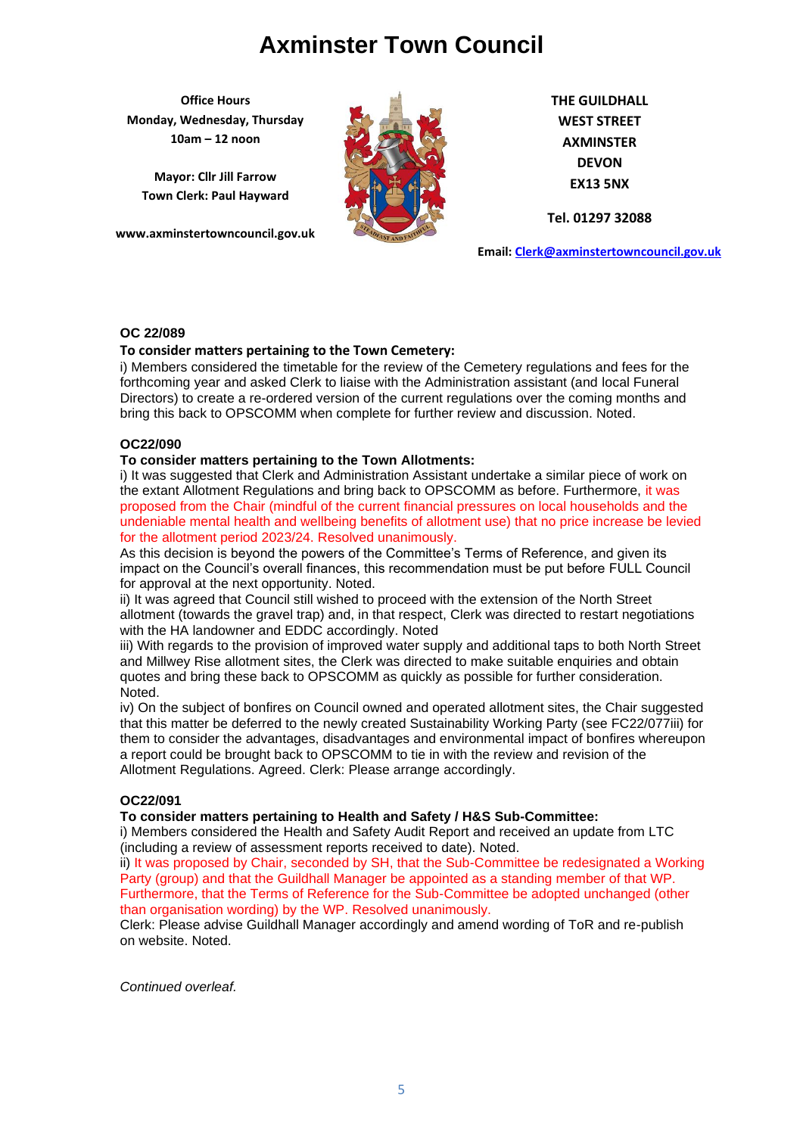**Office Hours Monday, Wednesday, Thursday 10am – 12 noon**

**Mayor: Cllr Jill Farrow Town Clerk: Paul Hayward**

**www.axminstertowncouncil.gov.uk**



**THE GUILDHALL WEST STREET AXMINSTER DEVON EX13 5NX**

**Tel. 01297 32088**

**Email: [Clerk@axminstertowncouncil.gov.uk](file://///axm-svr-1/company/Templates/Clerk@axminstertowncouncil.gov.uk)**

# **OC 22/089**

# **To consider matters pertaining to the Town Cemetery:**

forthcoming year and asked Clerk to liaise with the Administration assistant (and local Funeral i) Members considered the timetable for the review of the Cemetery regulations and fees for the Directors) to create a re-ordered version of the current regulations over the coming months and bring this back to OPSCOMM when complete for further review and discussion. Noted.

## **OC22/090**

## **To consider matters pertaining to the Town Allotments:**

i) It was suggested that Clerk and Administration Assistant undertake a similar piece of work on the extant Allotment Regulations and bring back to OPSCOMM as before. Furthermore, it was proposed from the Chair (mindful of the current financial pressures on local households and the undeniable mental health and wellbeing benefits of allotment use) that no price increase be levied for the allotment period 2023/24. Resolved unanimously.

As this decision is beyond the powers of the Committee's Terms of Reference, and given its impact on the Council's overall finances, this recommendation must be put before FULL Council for approval at the next opportunity. Noted.

ii) It was agreed that Council still wished to proceed with the extension of the North Street allotment (towards the gravel trap) and, in that respect, Clerk was directed to restart negotiations with the HA landowner and EDDC accordingly. Noted

iii) With regards to the provision of improved water supply and additional taps to both North Street and Millwey Rise allotment sites, the Clerk was directed to make suitable enquiries and obtain quotes and bring these back to OPSCOMM as quickly as possible for further consideration. Noted.

iv) On the subject of bonfires on Council owned and operated allotment sites, the Chair suggested that this matter be deferred to the newly created Sustainability Working Party (see FC22/077iii) for them to consider the advantages, disadvantages and environmental impact of bonfires whereupon a report could be brought back to OPSCOMM to tie in with the review and revision of the Allotment Regulations. Agreed. Clerk: Please arrange accordingly.

# **OC22/091**

**To consider matters pertaining to Health and Safety / H&S Sub-Committee:**

i) Members considered the Health and Safety Audit Report and received an update from LTC (including a review of assessment reports received to date). Noted.

ii) It was proposed by Chair, seconded by SH, that the Sub-Committee be redesignated a Working Party (group) and that the Guildhall Manager be appointed as a standing member of that WP. Furthermore, that the Terms of Reference for the Sub-Committee be adopted unchanged (other than organisation wording) by the WP. Resolved unanimously.

Clerk: Please advise Guildhall Manager accordingly and amend wording of ToR and re-publish on website. Noted.

*Continued overleaf.*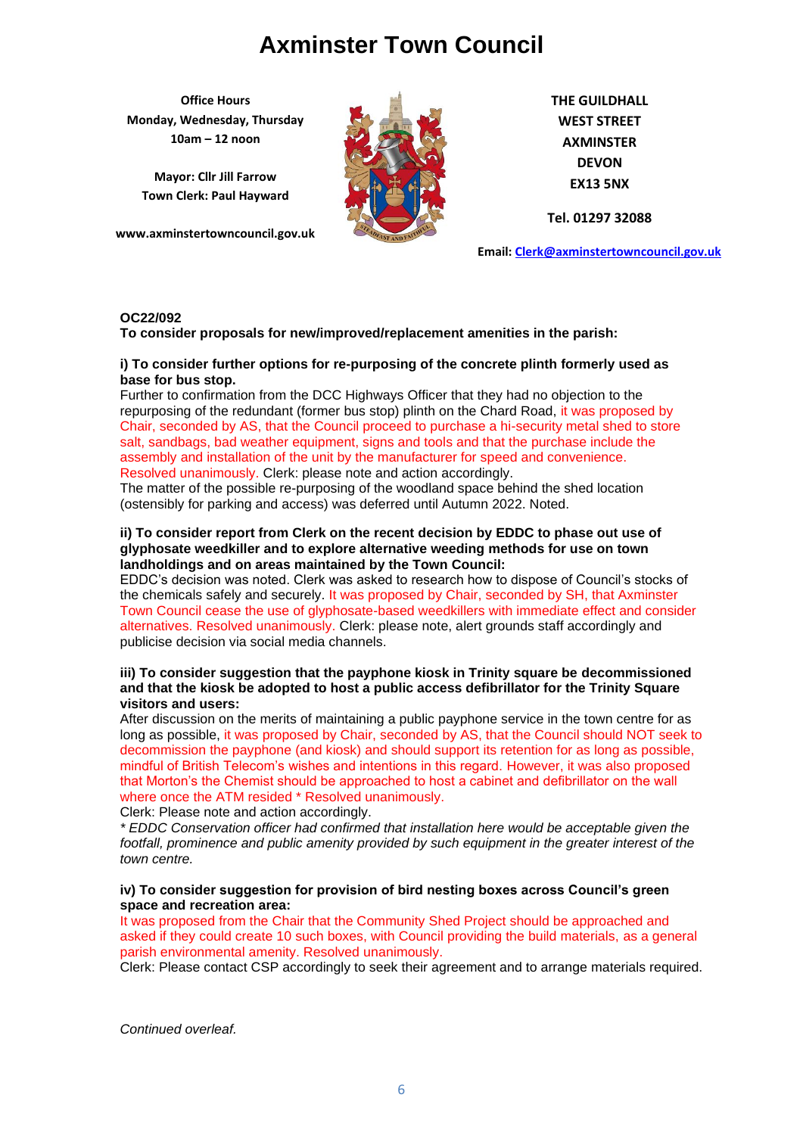**Office Hours Monday, Wednesday, Thursday 10am – 12 noon**

**Mayor: Cllr Jill Farrow Town Clerk: Paul Hayward**

**www.axminstertowncouncil.gov.uk**



**THE GUILDHALL WEST STREET AXMINSTER DEVON EX13 5NX**

**Tel. 01297 32088**

**Email: [Clerk@axminstertowncouncil.gov.uk](file://///axm-svr-1/company/Templates/Clerk@axminstertowncouncil.gov.uk)**

## **OC22/092**

**To consider proposals for new/improved/replacement amenities in the parish:**

# i) To consider further options for re-purposing of the concrete plinth formerly used as<br>base for bus ston **base for bus stop.**

Further to confirmation from the DCC Highways Officer that they had no objection to the repurposing of the redundant (former bus stop) plinth on the Chard Road, it was proposed by Chair, seconded by AS, that the Council proceed to purchase a hi-security metal shed to store salt, sandbags, bad weather equipment, signs and tools and that the purchase include the assembly and installation of the unit by the manufacturer for speed and convenience. Resolved unanimously. Clerk: please note and action accordingly.

The matter of the possible re-purposing of the woodland space behind the shed location (ostensibly for parking and access) was deferred until Autumn 2022. Noted.

# **ii) To consider report from Clerk on the recent decision by EDDC to phase out use of glyphosate weedkiller and to explore alternative weeding methods for use on town landholdings and on areas maintained by the Town Council:**

EDDC's decision was noted. Clerk was asked to research how to dispose of Council's stocks of the chemicals safely and securely. It was proposed by Chair, seconded by SH, that Axminster Town Council cease the use of glyphosate-based weedkillers with immediate effect and consider alternatives. Resolved unanimously. Clerk: please note, alert grounds staff accordingly and publicise decision via social media channels.

# **iii) To consider suggestion that the payphone kiosk in Trinity square be decommissioned and that the kiosk be adopted to host a public access defibrillator for the Trinity Square visitors and users:**

After discussion on the merits of maintaining a public payphone service in the town centre for as long as possible, it was proposed by Chair, seconded by AS, that the Council should NOT seek to decommission the payphone (and kiosk) and should support its retention for as long as possible, mindful of British Telecom's wishes and intentions in this regard. However, it was also proposed that Morton's the Chemist should be approached to host a cabinet and defibrillator on the wall where once the ATM resided \* Resolved unanimously.

Clerk: Please note and action accordingly.

*\* EDDC Conservation officer had confirmed that installation here would be acceptable given the*  footfall, prominence and public amenity provided by such equipment in the greater interest of the *town centre.*

## **iv) To consider suggestion for provision of bird nesting boxes across Council's green space and recreation area:**

It was proposed from the Chair that the Community Shed Project should be approached and asked if they could create 10 such boxes, with Council providing the build materials, as a general parish environmental amenity. Resolved unanimously.

Clerk: Please contact CSP accordingly to seek their agreement and to arrange materials required.

*Continued overleaf.*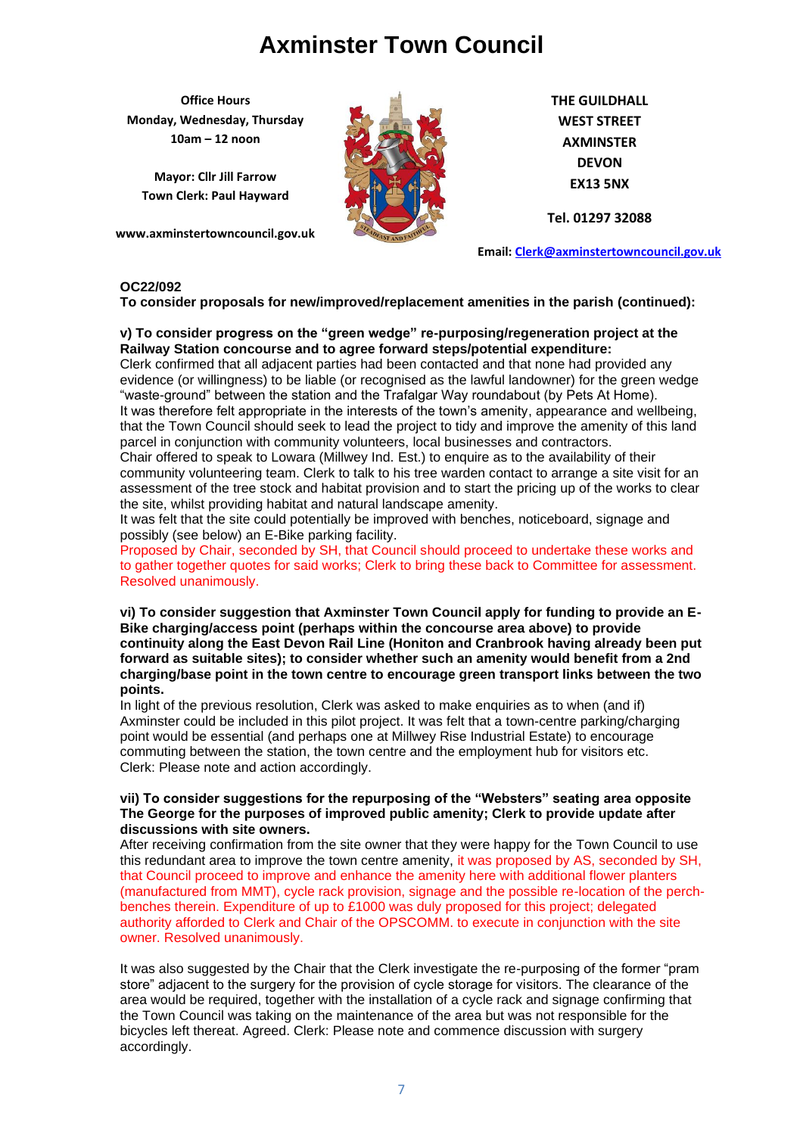**Office Hours Monday, Wednesday, Thursday 10am – 12 noon**

**Mayor: Cllr Jill Farrow Town Clerk: Paul Hayward**

**www.axminstertowncouncil.gov.uk**



**THE GUILDHALL WEST STREET AXMINSTER DEVON EX13 5NX**

**Tel. 01297 32088**

**Email: [Clerk@axminstertowncouncil.gov.uk](file://///axm-svr-1/company/Templates/Clerk@axminstertowncouncil.gov.uk)**

# **OC22/092**

**To consider proposals for new/improved/replacement amenities in the parish (continued):**

# **v) To consider progress on the "green wedge" re-purposing/regeneration project at the Railway Station concourse and to agree forward steps/potential expenditure:**

**TEL: 01297 32088** evidence (or willingness) to be liable (or recognised as the lawful landowner) for the green wedge Clerk confirmed that all adjacent parties had been contacted and that none had provided any "waste-ground" between the station and the Trafalgar Way roundabout (by Pets At Home). It was therefore felt appropriate in the interests of the town's amenity, appearance and wellbeing, that the Town Council should seek to lead the project to tidy and improve the amenity of this land parcel in conjunction with community volunteers, local businesses and contractors.

Chair offered to speak to Lowara (Millwey Ind. Est.) to enquire as to the availability of their community volunteering team. Clerk to talk to his tree warden contact to arrange a site visit for an assessment of the tree stock and habitat provision and to start the pricing up of the works to clear the site, whilst providing habitat and natural landscape amenity.

It was felt that the site could potentially be improved with benches, noticeboard, signage and possibly (see below) an E-Bike parking facility.

Proposed by Chair, seconded by SH, that Council should proceed to undertake these works and to gather together quotes for said works; Clerk to bring these back to Committee for assessment. Resolved unanimously.

**vi) To consider suggestion that Axminster Town Council apply for funding to provide an E-Bike charging/access point (perhaps within the concourse area above) to provide continuity along the East Devon Rail Line (Honiton and Cranbrook having already been put forward as suitable sites); to consider whether such an amenity would benefit from a 2nd charging/base point in the town centre to encourage green transport links between the two points.**

In light of the previous resolution, Clerk was asked to make enquiries as to when (and if) Axminster could be included in this pilot project. It was felt that a town-centre parking/charging point would be essential (and perhaps one at Millwey Rise Industrial Estate) to encourage commuting between the station, the town centre and the employment hub for visitors etc. Clerk: Please note and action accordingly.

## **vii) To consider suggestions for the repurposing of the "Websters" seating area opposite The George for the purposes of improved public amenity; Clerk to provide update after discussions with site owners.**

After receiving confirmation from the site owner that they were happy for the Town Council to use this redundant area to improve the town centre amenity, it was proposed by AS, seconded by SH, that Council proceed to improve and enhance the amenity here with additional flower planters (manufactured from MMT), cycle rack provision, signage and the possible re-location of the perchbenches therein. Expenditure of up to £1000 was duly proposed for this project; delegated authority afforded to Clerk and Chair of the OPSCOMM. to execute in conjunction with the site owner. Resolved unanimously.

It was also suggested by the Chair that the Clerk investigate the re-purposing of the former "pram store" adjacent to the surgery for the provision of cycle storage for visitors. The clearance of the area would be required, together with the installation of a cycle rack and signage confirming that the Town Council was taking on the maintenance of the area but was not responsible for the bicycles left thereat. Agreed. Clerk: Please note and commence discussion with surgery accordingly.